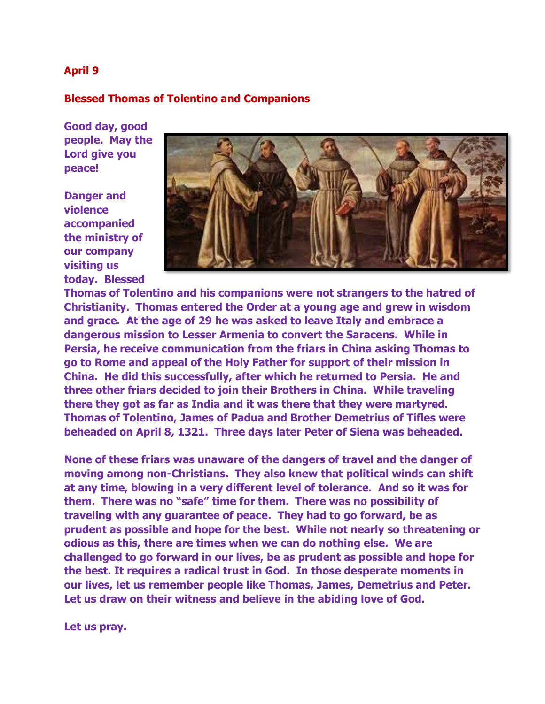## **April 9**

## **Blessed Thomas of Tolentino and Companions**

**Good day, good people. May the Lord give you peace!**

**Danger and violence accompanied the ministry of our company visiting us today. Blessed** 



**Thomas of Tolentino and his companions were not strangers to the hatred of Christianity. Thomas entered the Order at a young age and grew in wisdom and grace. At the age of 29 he was asked to leave Italy and embrace a dangerous mission to Lesser Armenia to convert the Saracens. While in Persia, he receive communication from the friars in China asking Thomas to go to Rome and appeal of the Holy Father for support of their mission in China. He did this successfully, after which he returned to Persia. He and three other friars decided to join their Brothers in China. While traveling there they got as far as India and it was there that they were martyred. Thomas of Tolentino, James of Padua and Brother Demetrius of Tifles were beheaded on April 8, 1321. Three days later Peter of Siena was beheaded.** 

**None of these friars was unaware of the dangers of travel and the danger of moving among non-Christians. They also knew that political winds can shift at any time, blowing in a very different level of tolerance. And so it was for them. There was no "safe" time for them. There was no possibility of traveling with any guarantee of peace. They had to go forward, be as prudent as possible and hope for the best. While not nearly so threatening or odious as this, there are times when we can do nothing else. We are challenged to go forward in our lives, be as prudent as possible and hope for the best. It requires a radical trust in God. In those desperate moments in our lives, let us remember people like Thomas, James, Demetrius and Peter. Let us draw on their witness and believe in the abiding love of God.**

**Let us pray.**